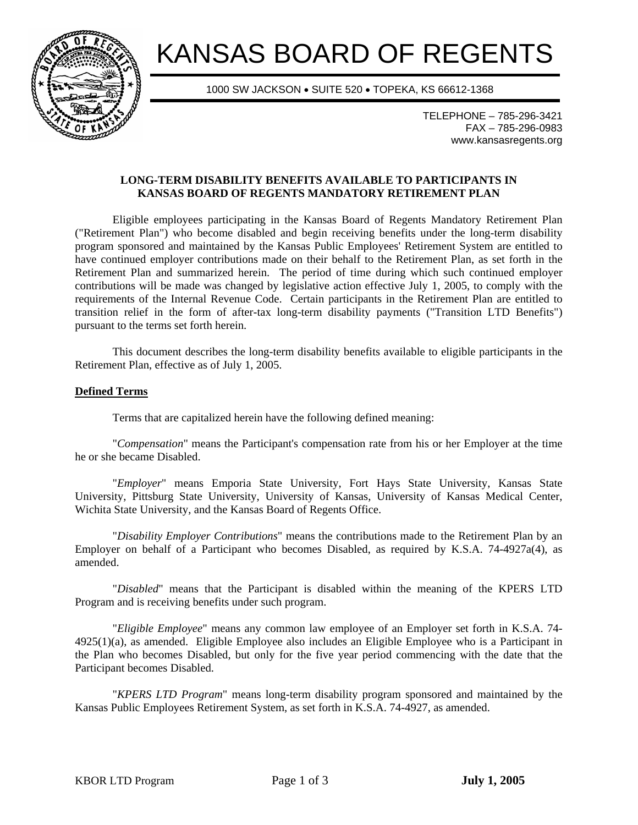

# KANSAS BOARD OF REGENTS

1000 SW JACKSON • SUITE 520 • TOPEKA, KS 66612-1368

TELEPHONE – 785-296-3421 FAX – 785-296-0983 www.kansasregents.org

# **LONG-TERM DISABILITY BENEFITS AVAILABLE TO PARTICIPANTS IN KANSAS BOARD OF REGENTS MANDATORY RETIREMENT PLAN**

Eligible employees participating in the Kansas Board of Regents Mandatory Retirement Plan ("Retirement Plan") who become disabled and begin receiving benefits under the long-term disability program sponsored and maintained by the Kansas Public Employees' Retirement System are entitled to have continued employer contributions made on their behalf to the Retirement Plan, as set forth in the Retirement Plan and summarized herein. The period of time during which such continued employer contributions will be made was changed by legislative action effective July 1, 2005, to comply with the requirements of the Internal Revenue Code. Certain participants in the Retirement Plan are entitled to transition relief in the form of after-tax long-term disability payments ("Transition LTD Benefits") pursuant to the terms set forth herein.

This document describes the long-term disability benefits available to eligible participants in the Retirement Plan, effective as of July 1, 2005.

## **Defined Terms**

Terms that are capitalized herein have the following defined meaning:

 "*Compensation*" means the Participant's compensation rate from his or her Employer at the time he or she became Disabled.

 "*Employer*" means Emporia State University, Fort Hays State University, Kansas State University, Pittsburg State University, University of Kansas, University of Kansas Medical Center, Wichita State University, and the Kansas Board of Regents Office.

 "*Disability Employer Contributions*" means the contributions made to the Retirement Plan by an Employer on behalf of a Participant who becomes Disabled, as required by K.S.A. 74-4927a(4), as amended.

 "*Disabled*" means that the Participant is disabled within the meaning of the KPERS LTD Program and is receiving benefits under such program.

 "*Eligible Employee*" means any common law employee of an Employer set forth in K.S.A. 74- 4925(1)(a), as amended. Eligible Employee also includes an Eligible Employee who is a Participant in the Plan who becomes Disabled, but only for the five year period commencing with the date that the Participant becomes Disabled.

 "*KPERS LTD Program*" means long-term disability program sponsored and maintained by the Kansas Public Employees Retirement System, as set forth in K.S.A. 74-4927, as amended.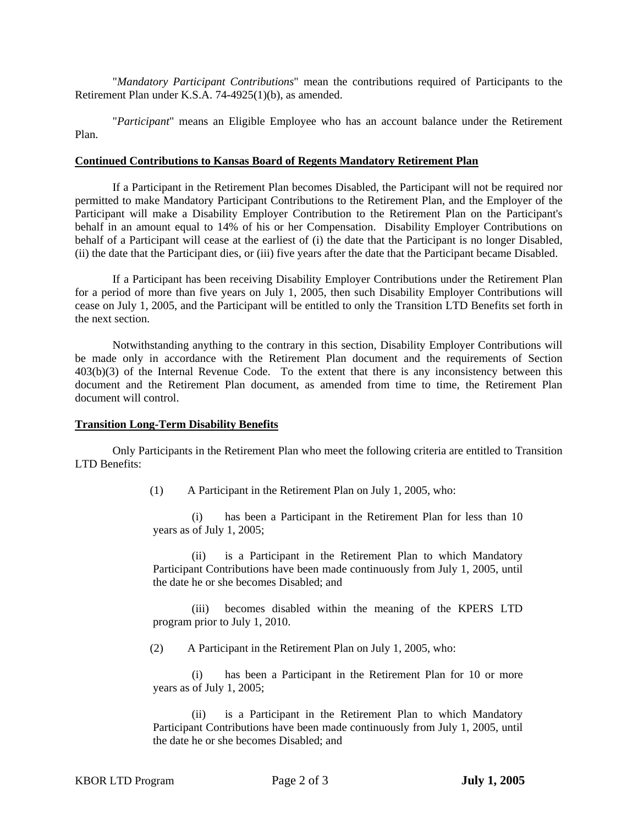"*Mandatory Participant Contributions*" mean the contributions required of Participants to the Retirement Plan under K.S.A. 74-4925(1)(b), as amended.

 "*Participant*" means an Eligible Employee who has an account balance under the Retirement Plan.

#### **Continued Contributions to Kansas Board of Regents Mandatory Retirement Plan**

If a Participant in the Retirement Plan becomes Disabled, the Participant will not be required nor permitted to make Mandatory Participant Contributions to the Retirement Plan, and the Employer of the Participant will make a Disability Employer Contribution to the Retirement Plan on the Participant's behalf in an amount equal to 14% of his or her Compensation. Disability Employer Contributions on behalf of a Participant will cease at the earliest of (i) the date that the Participant is no longer Disabled, (ii) the date that the Participant dies, or (iii) five years after the date that the Participant became Disabled.

If a Participant has been receiving Disability Employer Contributions under the Retirement Plan for a period of more than five years on July 1, 2005, then such Disability Employer Contributions will cease on July 1, 2005, and the Participant will be entitled to only the Transition LTD Benefits set forth in the next section.

Notwithstanding anything to the contrary in this section, Disability Employer Contributions will be made only in accordance with the Retirement Plan document and the requirements of Section 403(b)(3) of the Internal Revenue Code. To the extent that there is any inconsistency between this document and the Retirement Plan document, as amended from time to time, the Retirement Plan document will control.

#### **Transition Long-Term Disability Benefits**

Only Participants in the Retirement Plan who meet the following criteria are entitled to Transition LTD Benefits:

(1) A Participant in the Retirement Plan on July 1, 2005, who:

(i) has been a Participant in the Retirement Plan for less than 10 years as of July 1, 2005;

(ii) is a Participant in the Retirement Plan to which Mandatory Participant Contributions have been made continuously from July 1, 2005, until the date he or she becomes Disabled; and

(iii) becomes disabled within the meaning of the KPERS LTD program prior to July 1, 2010.

(2) A Participant in the Retirement Plan on July 1, 2005, who:

(i) has been a Participant in the Retirement Plan for 10 or more years as of July 1, 2005;

(ii) is a Participant in the Retirement Plan to which Mandatory Participant Contributions have been made continuously from July 1, 2005, until the date he or she becomes Disabled; and